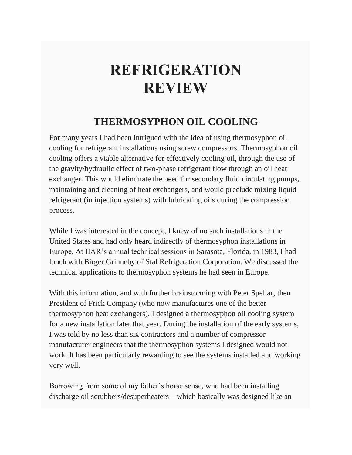## **REFRIGERATION REVIEW**

## **THERMOSYPHON OIL COOLING**

For many years I had been intrigued with the idea of using thermosyphon oil cooling for refrigerant installations using screw compressors. Thermosyphon oil cooling offers a viable alternative for effectively cooling oil, through the use of the gravity/hydraulic effect of two-phase refrigerant flow through an oil heat exchanger. This would eliminate the need for secondary fluid circulating pumps, maintaining and cleaning of heat exchangers, and would preclude mixing liquid refrigerant (in injection systems) with lubricating oils during the compression process.

While I was interested in the concept, I knew of no such installations in the United States and had only heard indirectly of thermosyphon installations in Europe. At IIAR's annual technical sessions in Sarasota, Florida, in 1983, I had lunch with Birger Grinneby of Stal Refrigeration Corporation. We discussed the technical applications to thermosyphon systems he had seen in Europe.

With this information, and with further brainstorming with Peter Spellar, then President of Frick Company (who now manufactures one of the better thermosyphon heat exchangers), I designed a thermosyphon oil cooling system for a new installation later that year. During the installation of the early systems, I was told by no less than six contractors and a number of compressor manufacturer engineers that the thermosyphon systems I designed would not work. It has been particularly rewarding to see the systems installed and working very well.

Borrowing from some of my father's horse sense, who had been installing discharge oil scrubbers/desuperheaters – which basically was designed like an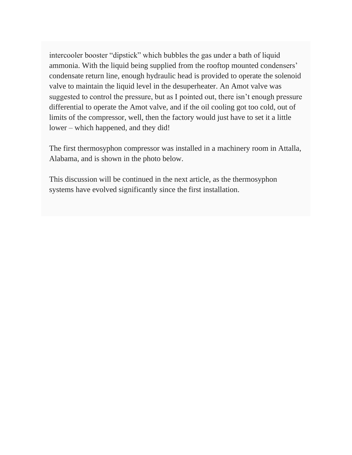intercooler booster "dipstick" which bubbles the gas under a bath of liquid ammonia. With the liquid being supplied from the rooftop mounted condensers' condensate return line, enough hydraulic head is provided to operate the solenoid valve to maintain the liquid level in the desuperheater. An Amot valve was suggested to control the pressure, but as I pointed out, there isn't enough pressure differential to operate the Amot valve, and if the oil cooling got too cold, out of limits of the compressor, well, then the factory would just have to set it a little lower – which happened, and they did!

The first thermosyphon compressor was installed in a machinery room in Attalla, Alabama, and is shown in the photo below.

This discussion will be continued in the next article, as the thermosyphon systems have evolved significantly since the first installation.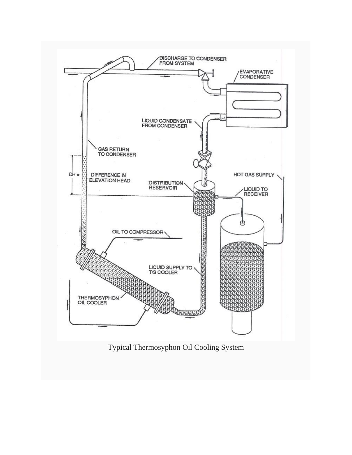